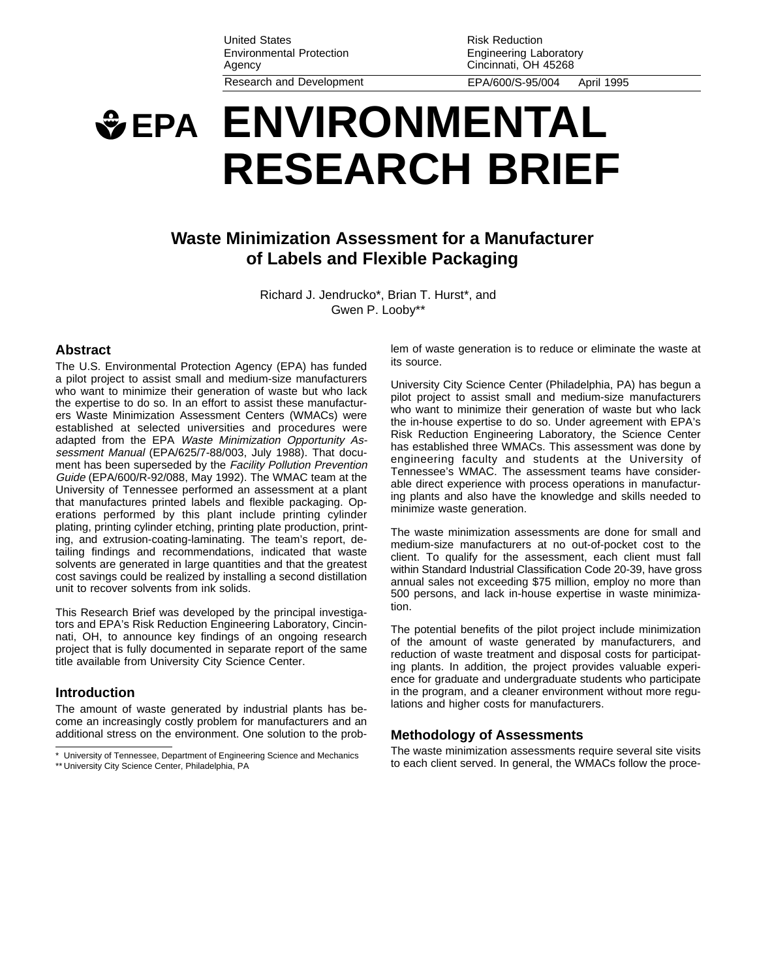United States Environmental Protection Agency Research and Development EPA/600/S-95/004 April 1995

Risk Reduction Engineering Laboratory Cincinnati, OH 45268

# **EPA ENVIRONMENTAL RESEARCH BRIEF**

## **Waste Minimization Assessment for a Manufacturer of Labels and Flexible Packaging**

Richard J. Jendrucko\*, Brian T. Hurst\*, and Gwen P. Looby\*\*

#### **Abstract**

The U.S. Environmental Protection Agency (EPA) has funded a pilot project to assist small and medium-size manufacturers who want to minimize their generation of waste but who lack the expertise to do so. In an effort to assist these manufacturers Waste Minimization Assessment Centers (WMACs) were established at selected universities and procedures were adapted from the EPA Waste Minimization Opportunity Assessment Manual (EPA/625/7-88/003, July 1988). That document has been superseded by the Facility Pollution Prevention Guide (EPA/600/R-92/088, May 1992). The WMAC team at the University of Tennessee performed an assessment at a plant that manufactures printed labels and flexible packaging. Operations performed by this plant include printing cylinder plating, printing cylinder etching, printing plate production, printing, and extrusion-coating-laminating. The team's report, detailing findings and recommendations, indicated that waste solvents are generated in large quantities and that the greatest cost savings could be realized by installing a second distillation unit to recover solvents from ink solids.

This Research Brief was developed by the principal investigators and EPA's Risk Reduction Engineering Laboratory, Cincinnati, OH, to announce key findings of an ongoing research project that is fully documented in separate report of the same title available from University City Science Center.

#### **Introduction**

The amount of waste generated by industrial plants has become an increasingly costly problem for manufacturers and an additional stress on the environment. One solution to the problem of waste generation is to reduce or eliminate the waste at its source.

University City Science Center (Philadelphia, PA) has begun a pilot project to assist small and medium-size manufacturers who want to minimize their generation of waste but who lack the in-house expertise to do so. Under agreement with EPA's Risk Reduction Engineering Laboratory, the Science Center has established three WMACs. This assessment was done by engineering faculty and students at the University of Tennessee's WMAC. The assessment teams have considerable direct experience with process operations in manufacturing plants and also have the knowledge and skills needed to minimize waste generation.

The waste minimization assessments are done for small and medium-size manufacturers at no out-of-pocket cost to the client. To qualify for the assessment, each client must fall within Standard Industrial Classification Code 20-39, have gross annual sales not exceeding \$75 million, employ no more than 500 persons, and lack in-house expertise in waste minimization.

The potential benefits of the pilot project include minimization of the amount of waste generated by manufacturers, and reduction of waste treatment and disposal costs for participating plants. In addition, the project provides valuable experience for graduate and undergraduate students who participate in the program, and a cleaner environment without more regulations and higher costs for manufacturers.

#### **Methodology of Assessments**

The waste minimization assessments require several site visits to each client served. In general, the WMACs follow the proce-

University of Tennessee, Department of Engineering Science and Mechanics \*\* University City Science Center, Philadelphia, PA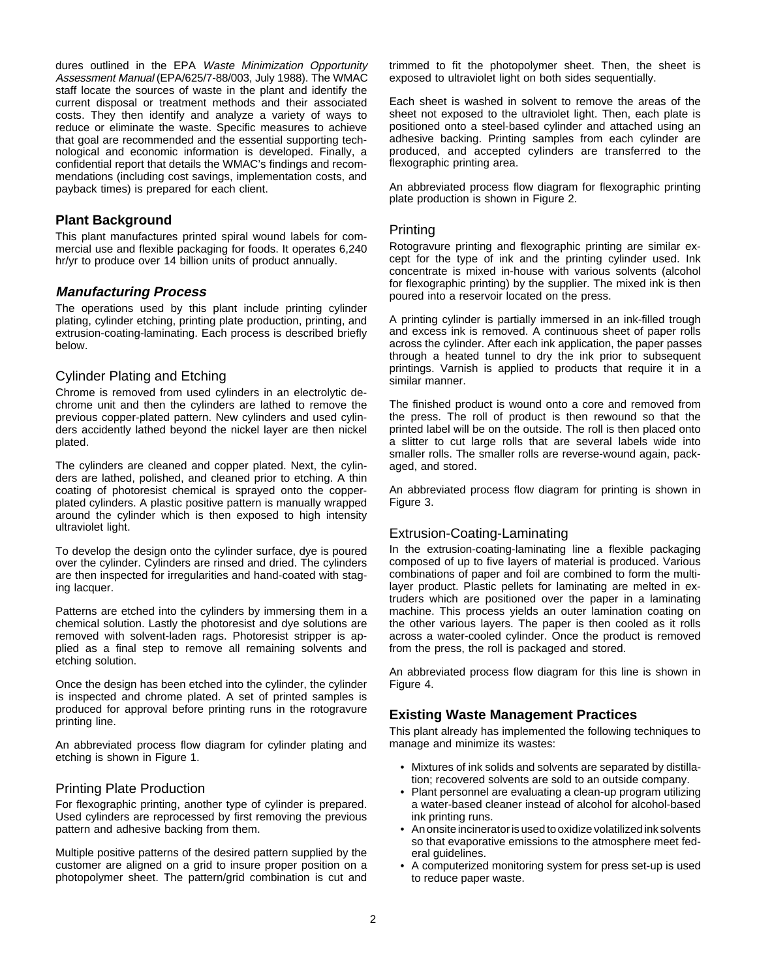dures outlined in the EPA Waste Minimization Opportunity Assessment Manual (EPA/625/7-88/003, July 1988). The WMAC staff locate the sources of waste in the plant and identify the current disposal or treatment methods and their associated costs. They then identify and analyze a variety of ways to reduce or eliminate the waste. Specific measures to achieve that goal are recommended and the essential supporting technological and economic information is developed. Finally, a confidential report that details the WMAC's findings and recommendations (including cost savings, implementation costs, and payback times) is prepared for each client.

#### **Plant Background**

This plant manufactures printed spiral wound labels for commercial use and flexible packaging for foods. It operates 6,240 hr/yr to produce over 14 billion units of product annually.

## **Manufacturing Process**

The operations used by this plant include printing cylinder plating, cylinder etching, printing plate production, printing, and extrusion-coating-laminating. Each process is described briefly below.

## Cylinder Plating and Etching

Chrome is removed from used cylinders in an electrolytic dechrome unit and then the cylinders are lathed to remove the previous copper-plated pattern. New cylinders and used cylinders accidently lathed beyond the nickel layer are then nickel plated.

The cylinders are cleaned and copper plated. Next, the cylinders are lathed, polished, and cleaned prior to etching. A thin coating of photoresist chemical is sprayed onto the copperplated cylinders. A plastic positive pattern is manually wrapped around the cylinder which is then exposed to high intensity ultraviolet light.

To develop the design onto the cylinder surface, dye is poured over the cylinder. Cylinders are rinsed and dried. The cylinders are then inspected for irregularities and hand-coated with staging lacquer.

Patterns are etched into the cylinders by immersing them in a chemical solution. Lastly the photoresist and dye solutions are removed with solvent-laden rags. Photoresist stripper is applied as a final step to remove all remaining solvents and etching solution.

Once the design has been etched into the cylinder, the cylinder is inspected and chrome plated. A set of printed samples is produced for approval before printing runs in the rotogravure printing line.

An abbreviated process flow diagram for cylinder plating and etching is shown in Figure 1.

## Printing Plate Production

For flexographic printing, another type of cylinder is prepared. Used cylinders are reprocessed by first removing the previous pattern and adhesive backing from them.

Multiple positive patterns of the desired pattern supplied by the customer are aligned on a grid to insure proper position on a photopolymer sheet. The pattern/grid combination is cut and trimmed to fit the photopolymer sheet. Then, the sheet is exposed to ultraviolet light on both sides sequentially.

Each sheet is washed in solvent to remove the areas of the sheet not exposed to the ultraviolet light. Then, each plate is positioned onto a steel-based cylinder and attached using an adhesive backing. Printing samples from each cylinder are produced, and accepted cylinders are transferred to the flexographic printing area.

An abbreviated process flow diagram for flexographic printing plate production is shown in Figure 2.

#### **Printing**

Rotogravure printing and flexographic printing are similar except for the type of ink and the printing cylinder used. Ink concentrate is mixed in-house with various solvents (alcohol for flexographic printing) by the supplier. The mixed ink is then poured into a reservoir located on the press.

A printing cylinder is partially immersed in an ink-filled trough and excess ink is removed. A continuous sheet of paper rolls across the cylinder. After each ink application, the paper passes through a heated tunnel to dry the ink prior to subsequent printings. Varnish is applied to products that require it in a similar manner.

The finished product is wound onto a core and removed from the press. The roll of product is then rewound so that the printed label will be on the outside. The roll is then placed onto a slitter to cut large rolls that are several labels wide into smaller rolls. The smaller rolls are reverse-wound again, packaged, and stored.

An abbreviated process flow diagram for printing is shown in Figure 3.

## Extrusion-Coating-Laminating

In the extrusion-coating-laminating line a flexible packaging composed of up to five layers of material is produced. Various combinations of paper and foil are combined to form the multilayer product. Plastic pellets for laminating are melted in extruders which are positioned over the paper in a laminating machine. This process yields an outer lamination coating on the other various layers. The paper is then cooled as it rolls across a water-cooled cylinder. Once the product is removed from the press, the roll is packaged and stored.

An abbreviated process flow diagram for this line is shown in Figure 4.

## **Existing Waste Management Practices**

This plant already has implemented the following techniques to manage and minimize its wastes:

- Mixtures of ink solids and solvents are separated by distillation; recovered solvents are sold to an outside company.
- Plant personnel are evaluating a clean-up program utilizing a water-based cleaner instead of alcohol for alcohol-based ink printing runs.
- An onsite incinerator is used to oxidize volatilized ink solvents so that evaporative emissions to the atmosphere meet federal guidelines.
- A computerized monitoring system for press set-up is used to reduce paper waste.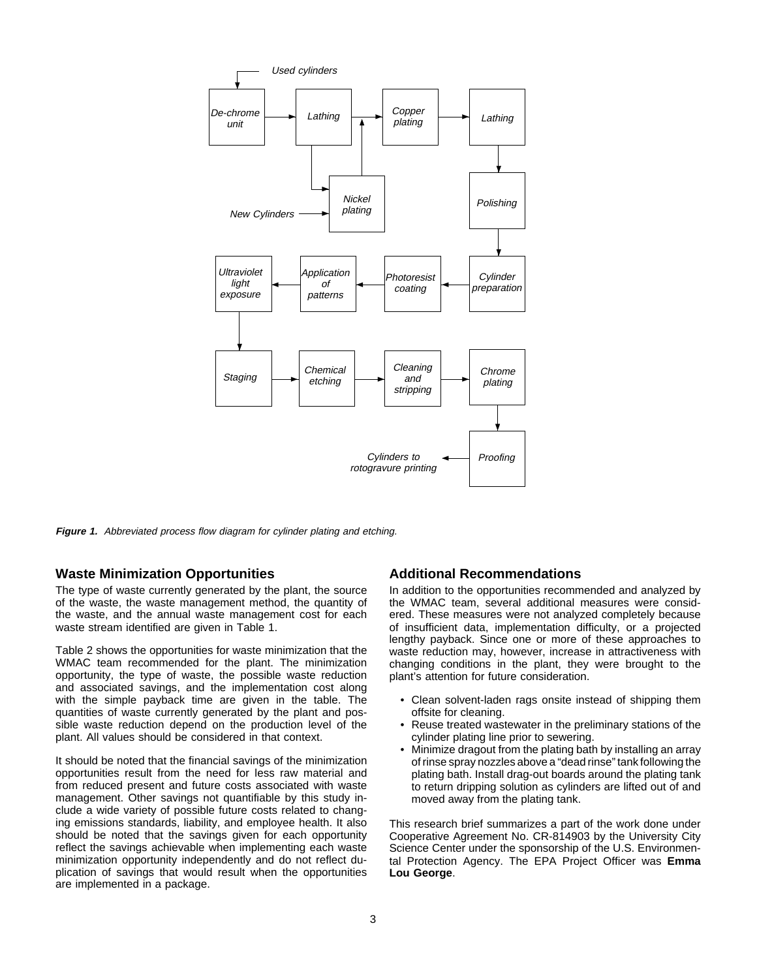

**Figure 1.** Abbreviated process flow diagram for cylinder plating and etching.

#### **Waste Minimization Opportunities**

The type of waste currently generated by the plant, the source of the waste, the waste management method, the quantity of the waste, and the annual waste management cost for each waste stream identified are given in Table 1.

Table 2 shows the opportunities for waste minimization that the WMAC team recommended for the plant. The minimization opportunity, the type of waste, the possible waste reduction and associated savings, and the implementation cost along with the simple payback time are given in the table. The quantities of waste currently generated by the plant and possible waste reduction depend on the production level of the plant. All values should be considered in that context.

It should be noted that the financial savings of the minimization opportunities result from the need for less raw material and from reduced present and future costs associated with waste management. Other savings not quantifiable by this study include a wide variety of possible future costs related to changing emissions standards, liability, and employee health. It also should be noted that the savings given for each opportunity reflect the savings achievable when implementing each waste minimization opportunity independently and do not reflect duplication of savings that would result when the opportunities are implemented in a package.

#### **Additional Recommendations**

In addition to the opportunities recommended and analyzed by the WMAC team, several additional measures were considered. These measures were not analyzed completely because of insufficient data, implementation difficulty, or a projected lengthy payback. Since one or more of these approaches to waste reduction may, however, increase in attractiveness with changing conditions in the plant, they were brought to the plant's attention for future consideration.

- Clean solvent-laden rags onsite instead of shipping them offsite for cleaning.
- Reuse treated wastewater in the preliminary stations of the cylinder plating line prior to sewering.
- Minimize dragout from the plating bath by installing an array of rinse spray nozzles above a "dead rinse" tank following the plating bath. Install drag-out boards around the plating tank to return dripping solution as cylinders are lifted out of and moved away from the plating tank.

This research brief summarizes a part of the work done under Cooperative Agreement No. CR-814903 by the University City Science Center under the sponsorship of the U.S. Environmental Protection Agency. The EPA Project Officer was **Emma Lou George**.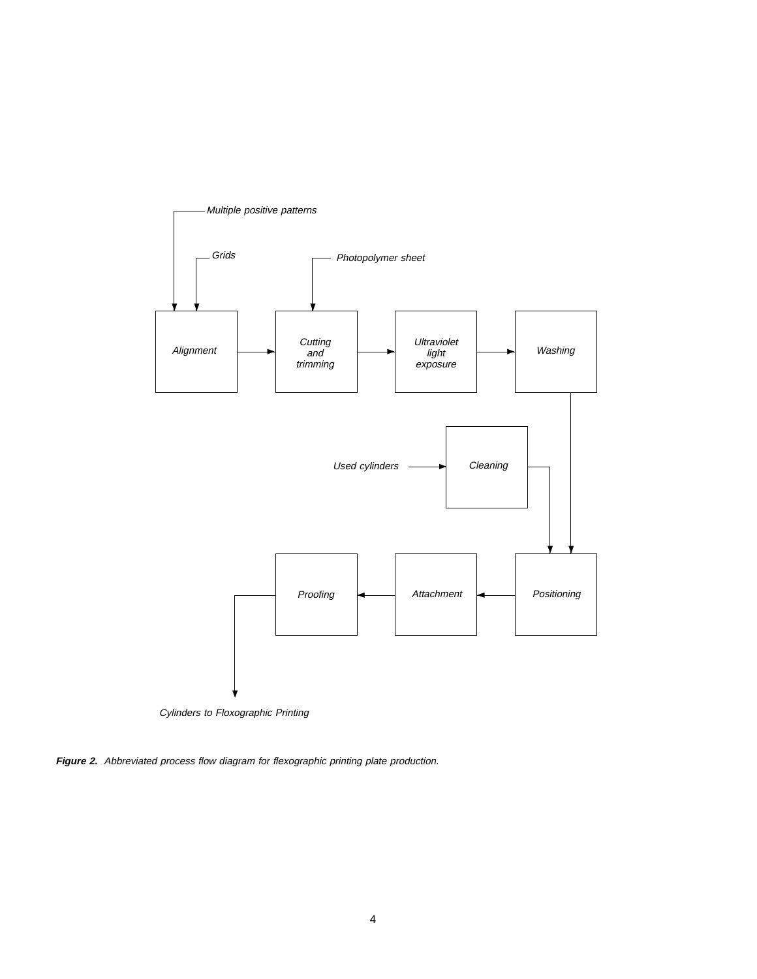

Cylinders to Floxographic Printing

**Figure 2.** Abbreviated process flow diagram for flexographic printing plate production.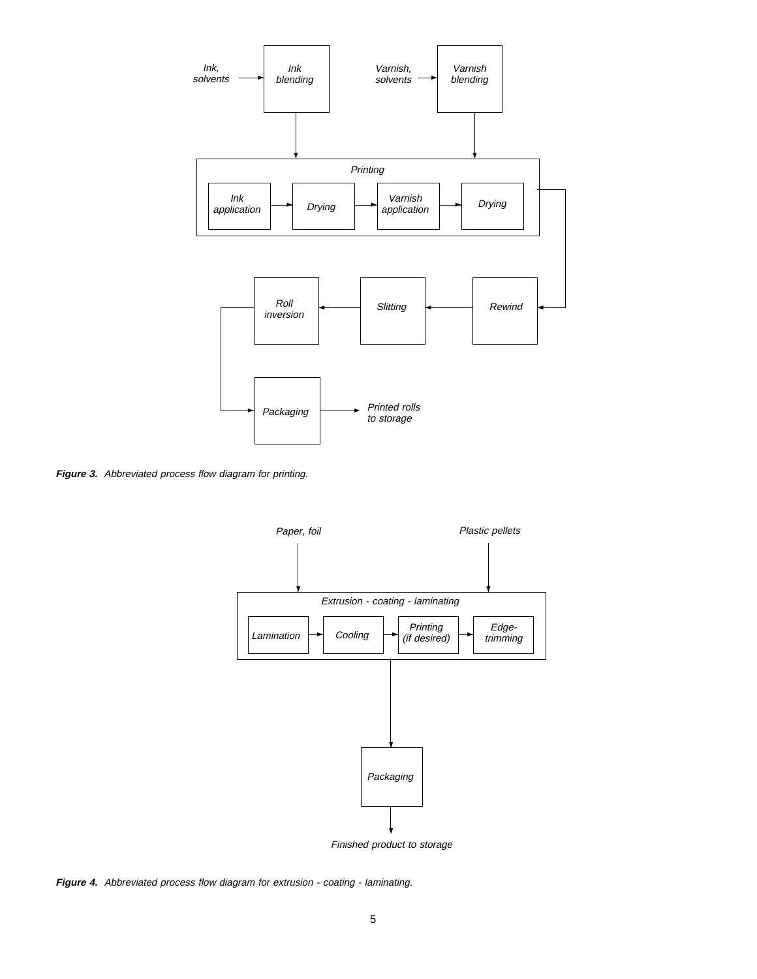

**Figure 3.** Abbreviated process flow diagram for printing.



**Figure 4.** Abbreviated process flow diagram for extrusion - coating - laminating.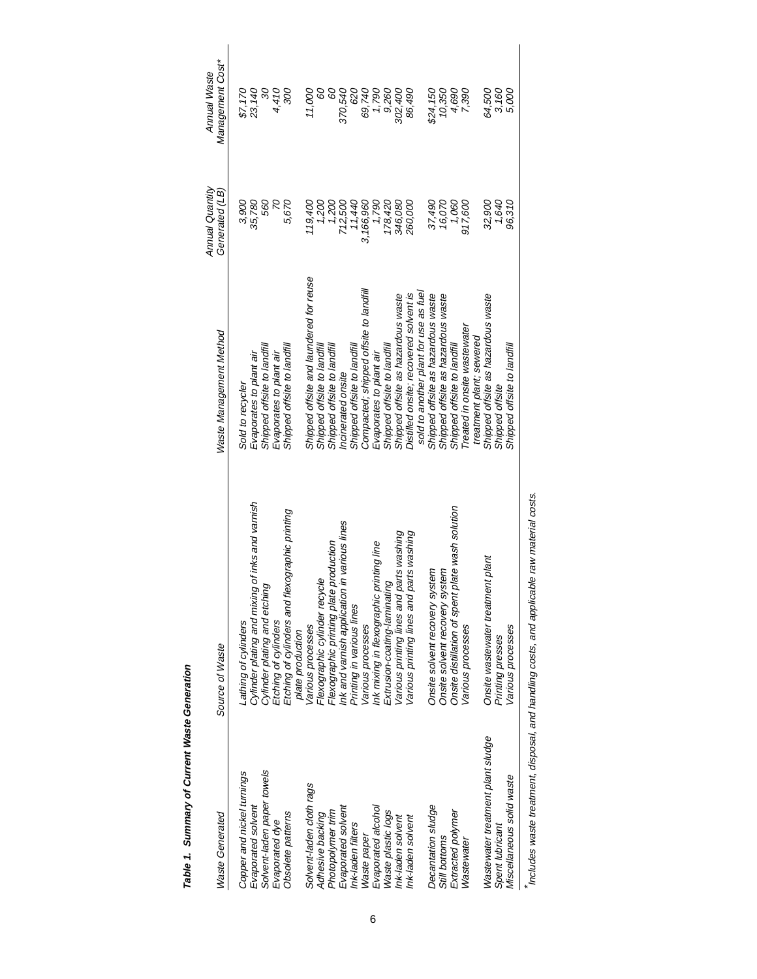| İ<br>ׇ֚֘֝֬<br>ı |
|-----------------|
|                 |

| <b>Waste Generated</b>            | Source of Waste                                                    | Waste Management Method                                                         | Annual Quantity<br>Generated (LB) | Management Cost*<br><b>Annual Waste</b> |
|-----------------------------------|--------------------------------------------------------------------|---------------------------------------------------------------------------------|-----------------------------------|-----------------------------------------|
| Copper and nickel turnings        | Lathing of cylinders                                               | Sold to recycler                                                                | 3,900                             | \$7,170                                 |
| Evaporated solvent                | Cylinder plating and mixing of inks and varnish                    | Evaporates to plant air                                                         | 35,780                            | 23,140                                  |
| Solvent-laden paper towels        | Cylinder plating and etching                                       | Shipped offsite to landfill                                                     | 560                               | 90                                      |
| Evaporated dye                    | Etching of cylinders                                               | Evaporates to plant air                                                         | $\overline{\mathcal{C}}$          | 4,410                                   |
| Obsolete patterns                 | Etching of cylinders and flexographic printing<br>plate production | Shipped offsite to landfill                                                     | 5,670                             | 300                                     |
| Solvent-laden cloth rags          | Various processes                                                  | Shipped offsite and laundered for reuse                                         | 119.400                           | 11,000                                  |
| Adhesive backing                  | Flexographic cylinder recycle                                      | Shipped offsite to landfill                                                     | 1,200                             | 8                                       |
| Photopolymer trim                 | Flexographic printing plate production                             | Shipped offsite to landfill                                                     | 1,200                             | 8                                       |
| Evaporated solvent                | Ink and varnish application in various lines                       | ncinerated onsite                                                               | 712,500                           | 370,540                                 |
| Ink-laden filters                 | Printing in various lines                                          | Shipped offsite to landfill                                                     | 11,440                            | 620                                     |
| Waste paper                       | Various processes                                                  | Compacted; shipped offsite to landfill                                          | 3,166,960                         | 69,740                                  |
| Evaporated alcohol                | Ink mixing in flexographic printing line                           | Evaporates to plant air                                                         | 1,790                             | 1,790                                   |
| Waste plastic logs                | Extrusion-coating-laminating                                       | Shipped offsite to landfill                                                     | 178,420                           | 9,260                                   |
| Ink-laden solvent                 | Various printing lines and parts washing                           | Shipped offsite as hazardous waste                                              | 346,080                           | 302,400                                 |
| Ink-laden solvent                 | Various printing lines and parts washing                           | sold to another plant for use as fuel<br>Distilled onsite; recovered solvent is | 260,000                           | 86,490                                  |
|                                   |                                                                    |                                                                                 |                                   |                                         |
| Decantation sludge                | Onsite solvent recovery system                                     | Shipped offsite as hazardous waste                                              | 37,490                            | \$24,150                                |
| Still bottoms                     | Onsite solvent recovery system                                     | Shipped offsite as hazardous waste                                              | 16,070                            | 10,350                                  |
| Extracted polymer                 | plate wash solution<br>Onsite distillation of spent                | Shipped offsite to landfill                                                     | 1,060                             |                                         |
| Wastewater                        | Various processes                                                  | Treated in onsite wastewater                                                    | 917,600                           | 4,690<br>7,390                          |
|                                   |                                                                    | treatment plant; sewered                                                        |                                   |                                         |
| Wastewater treatment plant sludge | Onsite wastewater treatment plant                                  | Shipped offsite as hazardous waste                                              | 32,900                            | 64,500                                  |
| Spent lubricant                   | Printing presses                                                   | Shipped offsite                                                                 | 1,640                             | 3,160<br>5,000                          |
| Miscellaneous solid waste         | Various processes                                                  | Shipped offsite to landfill                                                     | 96,310                            |                                         |

\*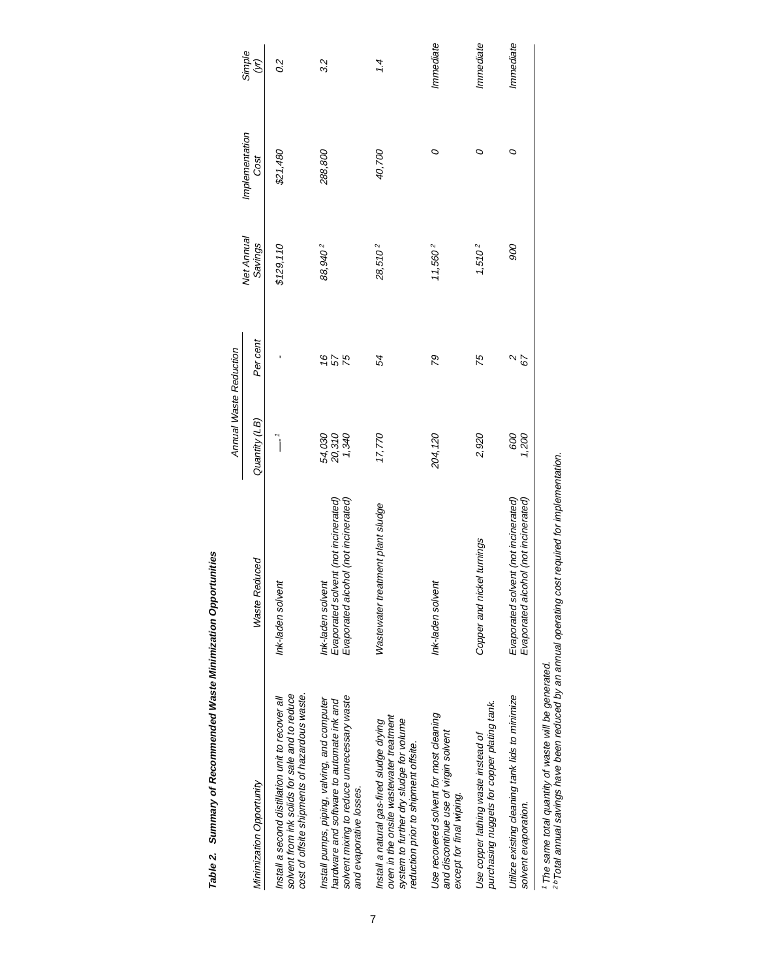|                                                                                                                                                                                   |                                                                                                   | Annual Waste Reduction    |             |                       |                        |                         |
|-----------------------------------------------------------------------------------------------------------------------------------------------------------------------------------|---------------------------------------------------------------------------------------------------|---------------------------|-------------|-----------------------|------------------------|-------------------------|
| Minimization Opportunity                                                                                                                                                          | <b>Waste Reduced</b>                                                                              | Quantity (LB)             | Per cent    | Net Annual<br>Savings | Implementation<br>Cost | Simple<br>$\mathcal{E}$ |
| cost of offsite shipments of hazardous waste.<br>solvent from ink solids for sale and to reduce<br>Install a second distillation unit to recover all                              | Ink-laden solvent                                                                                 | $\overline{\phantom{a}}$  |             | \$129,110             | \$21,480               | 0.2                     |
| solvent mixing to reduce unnecessary waste<br>Install pumps, piping, valving, and computer<br>hardware and software to automate ink and<br>and evaporative losses.                | Evaporated alcohol (not incinerated)<br>Evaporated solvent (not incinerated)<br>Ink-laden solvent | 54,030<br>20,310<br>1,340 | <b>1675</b> | 88,940 <sup>2</sup>   | 288,800                | 3.2                     |
| oven in the onsite wastewater treatment<br>system to further dry sludge for volume<br>Install a natural gas-fired sludge drying<br>reduction prior to shipment offsite.           | Wastewater treatment plant sludge                                                                 | 17,770                    | 54          | $28,510^{2}$          | 40,700                 | 1.4                     |
| Use recovered solvent for most cleaning<br>and discontinue use of virgin solvent<br>except for final wiping.                                                                      | Ink-laden solvent                                                                                 | 204,120                   | 79          | 11,560 <sup>2</sup>   | O                      | Immediate               |
| purchasing nuggets for copper plating tank.<br>Use copper lathing waste instead of                                                                                                | Copper and nickel turnings                                                                        | 2,920                     | 75          | $1,510^{2}$           | 0                      | Immediate               |
| Utilize existing cleaning tank lids to minimize<br>solvent evaporation.                                                                                                           | Evaporated solvent (not incinerated)<br>Evaporated alcohol (not incinerated)                      | 000<br>009                | 29          | 900                   | O                      | Immediate               |
| <sup>2b</sup> Total annual savings have been reduced by an annual operating cost required for implementation.<br><sup>1</sup> The same total quantity of waste will be generated. |                                                                                                   |                           |             |                       |                        |                         |

Table 2. Summary of Recommended Waste Minimization Opportunities **Table 2. Summary of Recommended Waste Minimization Opportunities**